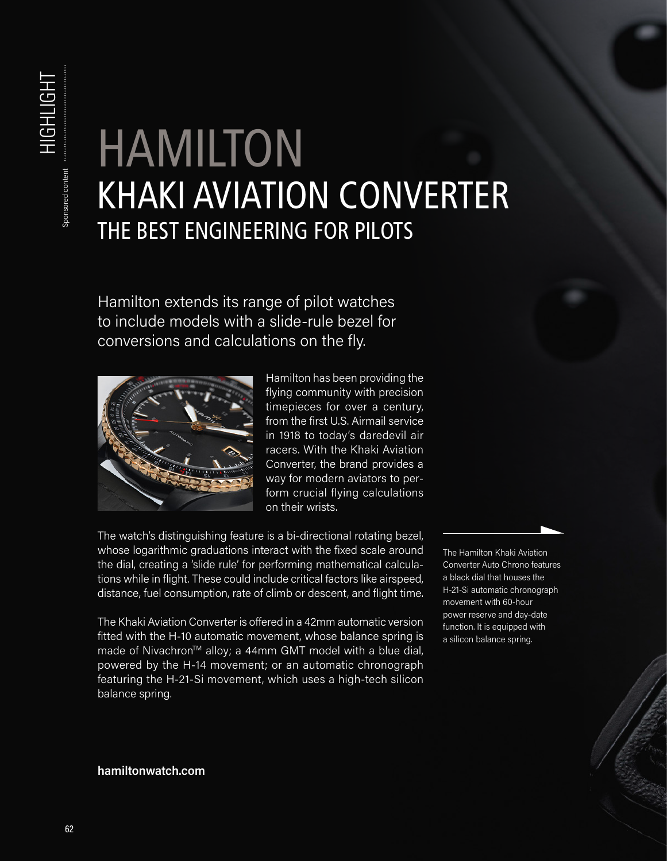## HAMILTON KHAKI AVIATION CONVERTER THE BEST ENGINEERING FOR PILOTS

Hamilton extends its range of pilot watches to include models with a slide-rule bezel for conversions and calculations on the fly.



Hamilton has been providing the flying community with precision timepieces for over a century, from the first U.S. Airmail service in 1918 to today's daredevil air racers. With the Khaki Aviation Converter, the brand provides a way for modern aviators to perform crucial flying calculations on their wrists.

The watch's distinguishing feature is a bi-directional rotating bezel, whose logarithmic graduations interact with the fixed scale around the dial, creating a 'slide rule' for performing mathematical calculations while in flight. These could include critical factors like airspeed, distance, fuel consumption, rate of climb or descent, and flight time.

The Khaki Aviation Converter is offered in a 42mm automatic version fitted with the H-10 automatic movement, whose balance spring is made of Nivachron<sup>™</sup> alloy; a 44mm GMT model with a blue dial, powered by the H-14 movement; or an automatic chronograph featuring the H-21-Si movement, which uses a high-tech silicon balance spring.

The Hamilton Khaki Aviation Converter Auto Chrono features a black dial that houses the H-21-Si automatic chronograph movement with 60-hour power reserve and day-date function. It is equipped with a silicon balance spring.

## **hamiltonwatch.com**

HIGHLIGHT

**HIGHLIGHT** 

Sponsored content

Sponsored content